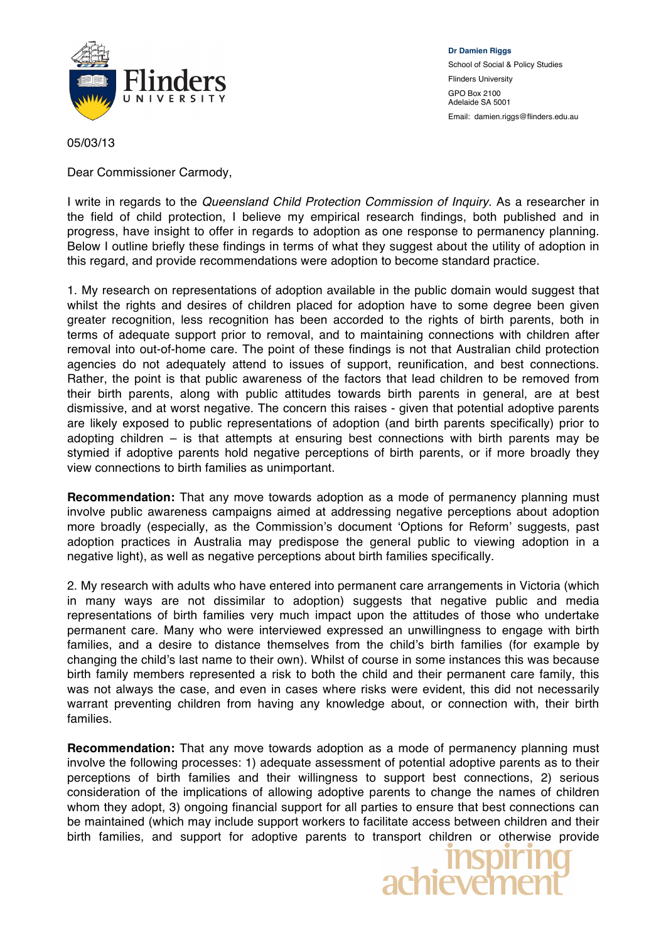

**Dr Damien Riggs** School of Social & Policy Studies Flinders University GPO Box 2100 Adelaide SA 5001 Email: damien.riggs@flinders.edu.au

05/03/13

Dear Commissioner Carmody,

I write in regards to the *Queensland Child Protection Commission of Inquiry*. As a researcher in the field of child protection, I believe my empirical research findings, both published and in progress, have insight to offer in regards to adoption as one response to permanency planning. Below I outline briefly these findings in terms of what they suggest about the utility of adoption in this regard, and provide recommendations were adoption to become standard practice.

1. My research on representations of adoption available in the public domain would suggest that whilst the rights and desires of children placed for adoption have to some degree been given greater recognition, less recognition has been accorded to the rights of birth parents, both in terms of adequate support prior to removal, and to maintaining connections with children after removal into out-of-home care. The point of these findings is not that Australian child protection agencies do not adequately attend to issues of support, reunification, and best connections. Rather, the point is that public awareness of the factors that lead children to be removed from their birth parents, along with public attitudes towards birth parents in general, are at best dismissive, and at worst negative. The concern this raises - given that potential adoptive parents are likely exposed to public representations of adoption (and birth parents specifically) prior to adopting children – is that attempts at ensuring best connections with birth parents may be stymied if adoptive parents hold negative perceptions of birth parents, or if more broadly they view connections to birth families as unimportant.

**Recommendation:** That any move towards adoption as a mode of permanency planning must involve public awareness campaigns aimed at addressing negative perceptions about adoption more broadly (especially, as the Commission's document 'Options for Reform' suggests, past adoption practices in Australia may predispose the general public to viewing adoption in a negative light), as well as negative perceptions about birth families specifically.

2. My research with adults who have entered into permanent care arrangements in Victoria (which in many ways are not dissimilar to adoption) suggests that negative public and media representations of birth families very much impact upon the attitudes of those who undertake permanent care. Many who were interviewed expressed an unwillingness to engage with birth families, and a desire to distance themselves from the child's birth families (for example by changing the child's last name to their own). Whilst of course in some instances this was because birth family members represented a risk to both the child and their permanent care family, this was not always the case, and even in cases where risks were evident, this did not necessarily warrant preventing children from having any knowledge about, or connection with, their birth families.

**Recommendation:** That any move towards adoption as a mode of permanency planning must involve the following processes: 1) adequate assessment of potential adoptive parents as to their perceptions of birth families and their willingness to support best connections, 2) serious consideration of the implications of allowing adoptive parents to change the names of children whom they adopt, 3) ongoing financial support for all parties to ensure that best connections can be maintained (which may include support workers to facilitate access between children and their birth families, and support for adoptive parents to transport children or otherwise provide